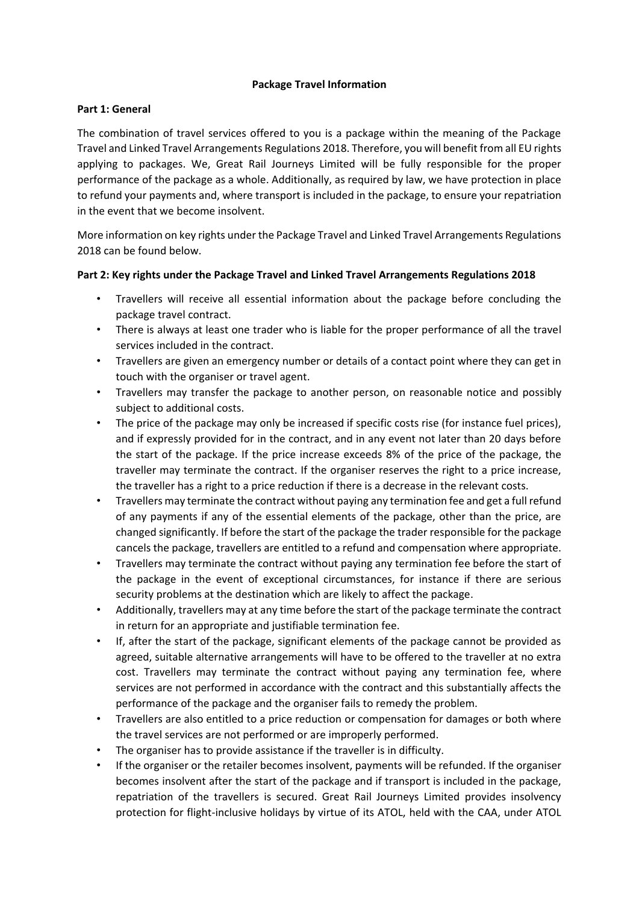## **Package Travel Information**

## **Part 1: General**

The combination of travel services offered to you is a package within the meaning of the Package Travel and Linked Travel Arrangements Regulations 2018. Therefore, you will benefit from all EU rights applying to packages. We, Great Rail Journeys Limited will be fully responsible for the proper performance of the package as a whole. Additionally, as required by law, we have protection in place to refund your payments and, where transport is included in the package, to ensure your repatriation in the event that we become insolvent.

More information on key rights under the Package Travel and Linked Travel Arrangements Regulations 2018 can be found below.

## **Part 2: Key rights under the Package Travel and Linked Travel Arrangements Regulations 2018**

- Travellers will receive all essential information about the package before concluding the package travel contract.
- There is always at least one trader who is liable for the proper performance of all the travel services included in the contract.
- Travellers are given an emergency number or details of a contact point where they can get in touch with the organiser or travel agent.
- Travellers may transfer the package to another person, on reasonable notice and possibly subject to additional costs.
- The price of the package may only be increased if specific costs rise (for instance fuel prices), and if expressly provided for in the contract, and in any event not later than 20 days before the start of the package. If the price increase exceeds 8% of the price of the package, the traveller may terminate the contract. If the organiser reserves the right to a price increase, the traveller has a right to a price reduction if there is a decrease in the relevant costs.
- Travellers may terminate the contract without paying any termination fee and get a full refund of any payments if any of the essential elements of the package, other than the price, are changed significantly. If before the start of the package the trader responsible for the package cancels the package, travellers are entitled to a refund and compensation where appropriate.
- Travellers may terminate the contract without paying any termination fee before the start of the package in the event of exceptional circumstances, for instance if there are serious security problems at the destination which are likely to affect the package.
- Additionally, travellers may at any time before the start of the package terminate the contract in return for an appropriate and justifiable termination fee.
- If, after the start of the package, significant elements of the package cannot be provided as agreed, suitable alternative arrangements will have to be offered to the traveller at no extra cost. Travellers may terminate the contract without paying any termination fee, where services are not performed in accordance with the contract and this substantially affects the performance of the package and the organiser fails to remedy the problem.
- Travellers are also entitled to a price reduction or compensation for damages or both where the travel services are not performed or are improperly performed.
- The organiser has to provide assistance if the traveller is in difficulty.
- If the organiser or the retailer becomes insolvent, payments will be refunded. If the organiser becomes insolvent after the start of the package and if transport is included in the package, repatriation of the travellers is secured. Great Rail Journeys Limited provides insolvency protection for flight-inclusive holidays by virtue of its ATOL, held with the CAA, under ATOL